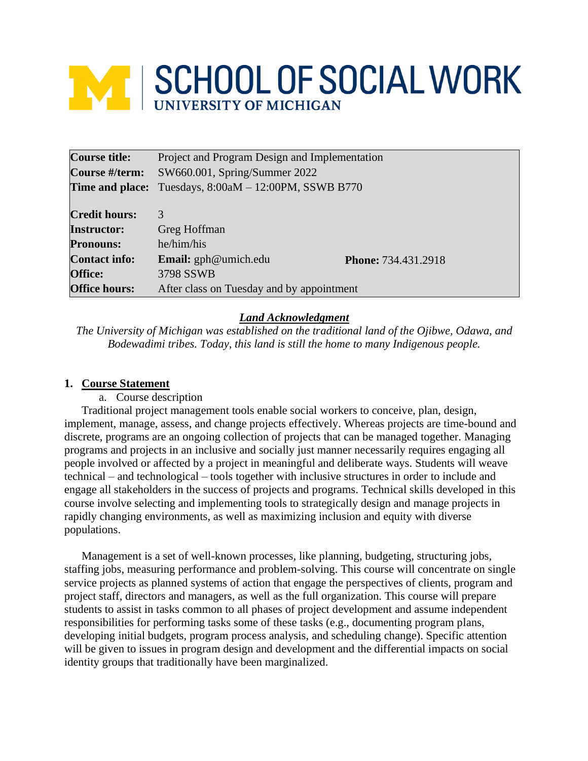# **WE SCHOOL OF SOCIAL WORK**

| <b>Course title:</b> | Project and Program Design and Implementation |                     |  |
|----------------------|-----------------------------------------------|---------------------|--|
| Course #/term:       | SW660.001, Spring/Summer 2022                 |                     |  |
| Time and place:      | Tuesdays, 8:00aM - 12:00PM, SSWB B770         |                     |  |
|                      |                                               |                     |  |
| <b>Credit hours:</b> | 3                                             |                     |  |
| <b>Instructor:</b>   | Greg Hoffman                                  |                     |  |
| <b>Pronouns:</b>     | he/him/his                                    |                     |  |
| <b>Contact info:</b> | <b>Email:</b> gph@umich.edu                   | Phone: 734.431.2918 |  |
| <b>Office:</b>       | 3798 SSWB                                     |                     |  |
| <b>Office hours:</b> | After class on Tuesday and by appointment     |                     |  |

# *Land Acknowledgment*

*The University of Michigan was established on the traditional land of the Ojibwe, Odawa, and Bodewadimi tribes. Today, this land is still the home to many Indigenous people.*

## **1. Course Statement**

a. Course description

Traditional project management tools enable social workers to conceive, plan, design, implement, manage, assess, and change projects effectively. Whereas projects are time-bound and discrete, programs are an ongoing collection of projects that can be managed together. Managing programs and projects in an inclusive and socially just manner necessarily requires engaging all people involved or affected by a project in meaningful and deliberate ways. Students will weave technical – and technological – tools together with inclusive structures in order to include and engage all stakeholders in the success of projects and programs. Technical skills developed in this course involve selecting and implementing tools to strategically design and manage projects in rapidly changing environments, as well as maximizing inclusion and equity with diverse populations.

Management is a set of well-known processes, like planning, budgeting, structuring jobs, staffing jobs, measuring performance and problem-solving. This course will concentrate on single service projects as planned systems of action that engage the perspectives of clients, program and project staff, directors and managers, as well as the full organization. This course will prepare students to assist in tasks common to all phases of project development and assume independent responsibilities for performing tasks some of these tasks (e.g., documenting program plans, developing initial budgets, program process analysis, and scheduling change). Specific attention will be given to issues in program design and development and the differential impacts on social identity groups that traditionally have been marginalized.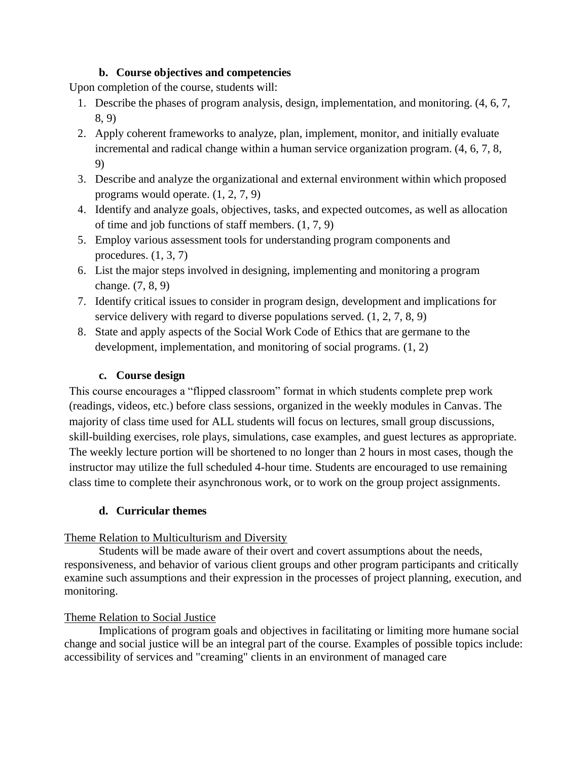## **b. Course objectives and competencies**

Upon completion of the course, students will:

- 1. Describe the phases of program analysis, design, implementation, and monitoring. (4, 6, 7, 8, 9)
- 2. Apply coherent frameworks to analyze, plan, implement, monitor, and initially evaluate incremental and radical change within a human service organization program. (4, 6, 7, 8, 9)
- 3. Describe and analyze the organizational and external environment within which proposed programs would operate. (1, 2, 7, 9)
- 4. Identify and analyze goals, objectives, tasks, and expected outcomes, as well as allocation of time and job functions of staff members. (1, 7, 9)
- 5. Employ various assessment tools for understanding program components and procedures. (1, 3, 7)
- 6. List the major steps involved in designing, implementing and monitoring a program change. (7, 8, 9)
- 7. Identify critical issues to consider in program design, development and implications for service delivery with regard to diverse populations served. (1, 2, 7, 8, 9)
- 8. State and apply aspects of the Social Work Code of Ethics that are germane to the development, implementation, and monitoring of social programs. (1, 2)

# **c. Course design**

This course encourages a "flipped classroom" format in which students complete prep work (readings, videos, etc.) before class sessions, organized in the weekly modules in Canvas. The majority of class time used for ALL students will focus on lectures, small group discussions, skill-building exercises, role plays, simulations, case examples, and guest lectures as appropriate. The weekly lecture portion will be shortened to no longer than 2 hours in most cases, though the instructor may utilize the full scheduled 4-hour time. Students are encouraged to use remaining class time to complete their asynchronous work, or to work on the group project assignments.

# **d. Curricular themes**

## Theme Relation to Multiculturism and Diversity

Students will be made aware of their overt and covert assumptions about the needs, responsiveness, and behavior of various client groups and other program participants and critically examine such assumptions and their expression in the processes of project planning, execution, and monitoring.

# Theme Relation to Social Justice

Implications of program goals and objectives in facilitating or limiting more humane social change and social justice will be an integral part of the course. Examples of possible topics include: accessibility of services and "creaming" clients in an environment of managed care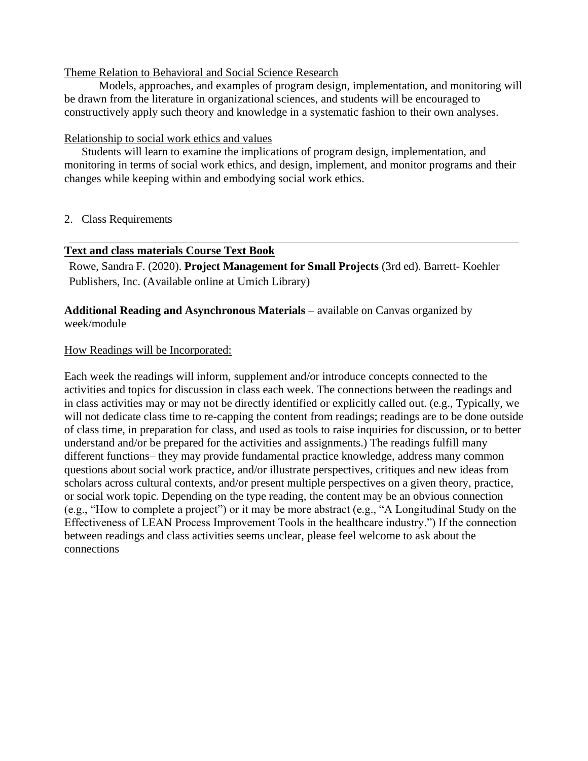#### Theme Relation to Behavioral and Social Science Research

Models, approaches, and examples of program design, implementation, and monitoring will be drawn from the literature in organizational sciences, and students will be encouraged to constructively apply such theory and knowledge in a systematic fashion to their own analyses.

## Relationship to social work ethics and values

Students will learn to examine the implications of program design, implementation, and monitoring in terms of social work ethics, and design, implement, and monitor programs and their changes while keeping within and embodying social work ethics.

## 2. Class Requirements

## **Text and class materials Course Text Book**

Rowe, Sandra F. (2020). **Project Management for Small Projects** (3rd ed). Barrett- Koehler Publishers, Inc. (Available online at Umich Library)

## **Additional Reading and Asynchronous Materials** – available on Canvas organized by week/module

#### How Readings will be Incorporated:

Each week the readings will inform, supplement and/or introduce concepts connected to the activities and topics for discussion in class each week. The connections between the readings and in class activities may or may not be directly identified or explicitly called out. (e.g., Typically, we will not dedicate class time to re-capping the content from readings; readings are to be done outside of class time, in preparation for class, and used as tools to raise inquiries for discussion, or to better understand and/or be prepared for the activities and assignments.) The readings fulfill many different functions– they may provide fundamental practice knowledge, address many common questions about social work practice, and/or illustrate perspectives, critiques and new ideas from scholars across cultural contexts, and/or present multiple perspectives on a given theory, practice, or social work topic. Depending on the type reading, the content may be an obvious connection (e.g., "How to complete a project") or it may be more abstract (e.g., "A Longitudinal Study on the Effectiveness of LEAN Process Improvement Tools in the healthcare industry.") If the connection between readings and class activities seems unclear, please feel welcome to ask about the connections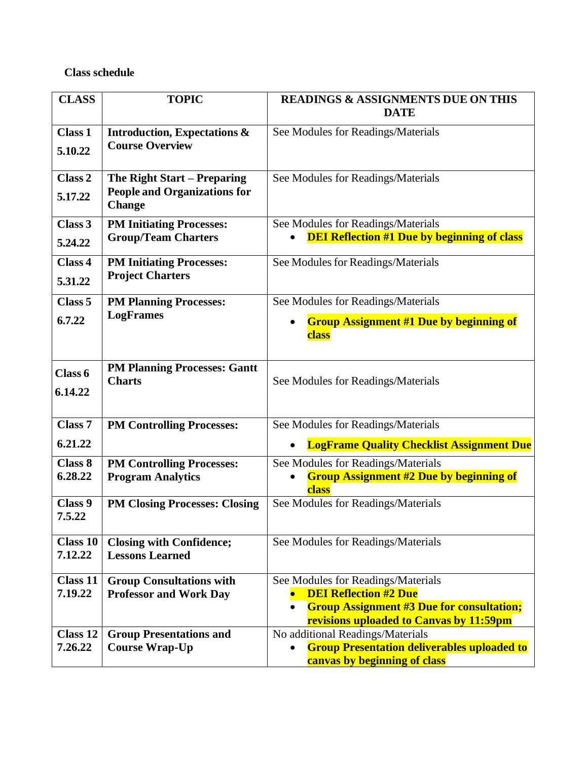# **Class schedule**

| <b>CLASS</b>               | <b>TOPIC</b>                                            | <b>READINGS &amp; ASSIGNMENTS DUE ON THIS</b><br><b>DATE</b>                           |  |  |
|----------------------------|---------------------------------------------------------|----------------------------------------------------------------------------------------|--|--|
|                            |                                                         |                                                                                        |  |  |
| <b>Class 1</b>             | <b>Introduction, Expectations &amp;</b>                 | See Modules for Readings/Materials                                                     |  |  |
| 5.10.22                    | <b>Course Overview</b>                                  |                                                                                        |  |  |
| Class 2                    | The Right Start – Preparing                             | See Modules for Readings/Materials                                                     |  |  |
| 5.17.22                    | <b>People and Organizations for</b><br><b>Change</b>    |                                                                                        |  |  |
| Class 3                    | <b>PM Initiating Processes:</b>                         | See Modules for Readings/Materials                                                     |  |  |
| 5.24.22                    | <b>Group/Team Charters</b>                              | <b>DEI Reflection #1 Due by beginning of class</b>                                     |  |  |
| Class 4                    | <b>PM Initiating Processes:</b>                         | See Modules for Readings/Materials                                                     |  |  |
| 5.31.22                    | <b>Project Charters</b>                                 |                                                                                        |  |  |
| Class <sub>5</sub>         | <b>PM Planning Processes:</b>                           | See Modules for Readings/Materials                                                     |  |  |
| 6.7.22                     | <b>LogFrames</b>                                        | <b>Group Assignment #1 Due by beginning of</b>                                         |  |  |
|                            |                                                         | class                                                                                  |  |  |
| Class 6<br>6.14.22         | <b>PM Planning Processes: Gantt</b><br><b>Charts</b>    | See Modules for Readings/Materials                                                     |  |  |
| <b>Class 7</b>             | <b>PM Controlling Processes:</b>                        | See Modules for Readings/Materials                                                     |  |  |
| 6.21.22                    |                                                         | <b>LogFrame Quality Checklist Assignment Due</b>                                       |  |  |
| Class 8                    | <b>PM Controlling Processes:</b>                        | See Modules for Readings/Materials                                                     |  |  |
| 6.28.22                    | <b>Program Analytics</b>                                | <b>Group Assignment #2 Due by beginning of</b><br>class                                |  |  |
| Class 9<br>7.5.22          | <b>PM Closing Processes: Closing</b>                    | See Modules for Readings/Materials                                                     |  |  |
| <b>Class 10</b>            | <b>Closing with Confidence;</b>                         | See Modules for Readings/Materials                                                     |  |  |
| 7.12.22                    | <b>Lessons Learned</b>                                  |                                                                                        |  |  |
| <b>Class 11</b>            | <b>Group Consultations with</b>                         | See Modules for Readings/Materials                                                     |  |  |
| 7.19.22                    | <b>Professor and Work Day</b>                           | <b>DEI Reflection #2 Due</b><br>$\bullet$                                              |  |  |
|                            |                                                         | <b>Group Assignment #3 Due for consultation;</b><br>$\bullet$                          |  |  |
|                            |                                                         | revisions uploaded to Canvas by 11:59pm                                                |  |  |
| <b>Class 12</b><br>7.26.22 | <b>Group Presentations and</b><br><b>Course Wrap-Up</b> | No additional Readings/Materials<br><b>Group Presentation deliverables uploaded to</b> |  |  |
|                            |                                                         | $\bullet$<br>canvas by beginning of class                                              |  |  |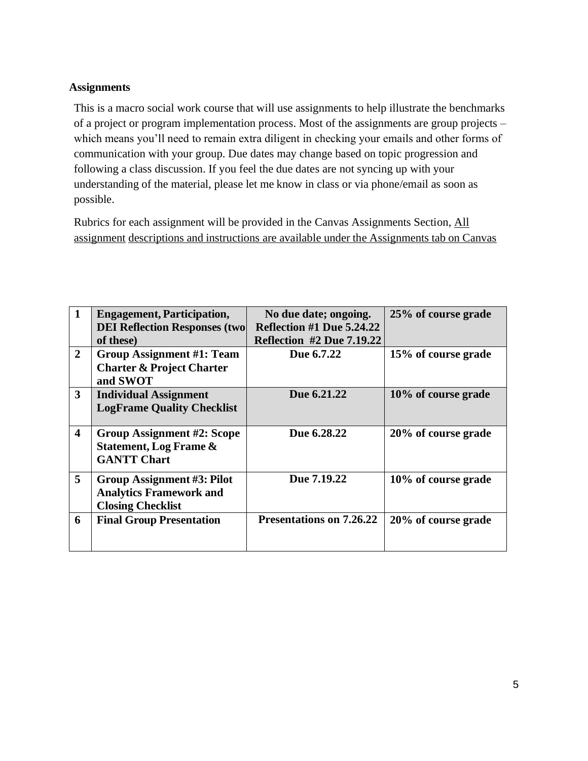# **Assignments**

This is a macro social work course that will use assignments to help illustrate the benchmarks of a project or program implementation process. Most of the assignments are group projects – which means you'll need to remain extra diligent in checking your emails and other forms of communication with your group. Due dates may change based on topic progression and following a class discussion. If you feel the due dates are not syncing up with your understanding of the material, please let me know in class or via phone/email as soon as possible.

Rubrics for each assignment will be provided in the Canvas Assignments Section, All assignment descriptions and instructions are available under the Assignments tab on Canvas

| 1                       | <b>Engagement, Participation,</b>    | No due date; ongoing.            | 25% of course grade |
|-------------------------|--------------------------------------|----------------------------------|---------------------|
|                         | <b>DEI Reflection Responses (two</b> | Reflection #1 Due 5.24.22        |                     |
|                         | of these)                            | <b>Reflection #2 Due 7.19.22</b> |                     |
| $\overline{2}$          | Group Assignment #1: Team            | Due 6.7.22                       | 15% of course grade |
|                         | <b>Charter &amp; Project Charter</b> |                                  |                     |
|                         | and SWOT                             |                                  |                     |
| 3                       | <b>Individual Assignment</b>         | Due 6.21.22                      | 10% of course grade |
|                         | <b>LogFrame Quality Checklist</b>    |                                  |                     |
|                         |                                      |                                  |                     |
| $\overline{\mathbf{4}}$ | Group Assignment #2: Scope           | Due 6.28.22                      | 20% of course grade |
|                         | <b>Statement, Log Frame &amp;</b>    |                                  |                     |
|                         | <b>GANTT Chart</b>                   |                                  |                     |
| 5                       | <b>Group Assignment #3: Pilot</b>    | Due 7.19.22                      | 10% of course grade |
|                         | <b>Analytics Framework and</b>       |                                  |                     |
|                         |                                      |                                  |                     |
|                         | <b>Closing Checklist</b>             |                                  |                     |
| 6                       | <b>Final Group Presentation</b>      | <b>Presentations on 7.26.22</b>  | 20% of course grade |
|                         |                                      |                                  |                     |
|                         |                                      |                                  |                     |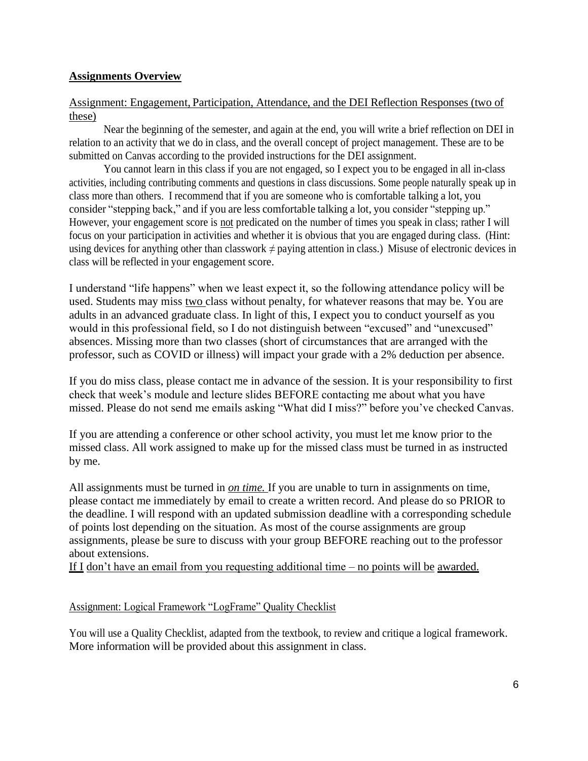## **Assignments Overview**

## Assignment: Engagement, Participation, Attendance, and the DEI Reflection Responses (two of these)

Near the beginning of the semester, and again at the end, you will write a brief reflection on DEI in relation to an activity that we do in class, and the overall concept of project management. These are to be submitted on Canvas according to the provided instructions for the DEI assignment.

You cannot learn in this class if you are not engaged, so I expect you to be engaged in all in-class activities, including contributing comments and questions in class discussions. Some people naturally speak up in class more than others. I recommend that if you are someone who is comfortable talking a lot, you consider "stepping back," and if you are less comfortable talking a lot, you consider "stepping up." However, your engagement score is not predicated on the number of times you speak in class; rather I will focus on your participation in activities and whether it is obvious that you are engaged during class. (Hint: using devices for anything other than classwork  $\neq$  paying attention in class.) Misuse of electronic devices in class will be reflected in your engagement score.

I understand "life happens" when we least expect it, so the following attendance policy will be used. Students may miss two class without penalty, for whatever reasons that may be. You are adults in an advanced graduate class. In light of this, I expect you to conduct yourself as you would in this professional field, so I do not distinguish between "excused" and "unexcused" absences. Missing more than two classes (short of circumstances that are arranged with the professor, such as COVID or illness) will impact your grade with a 2% deduction per absence.

If you do miss class, please contact me in advance of the session. It is your responsibility to first check that week's module and lecture slides BEFORE contacting me about what you have missed. Please do not send me emails asking "What did I miss?" before you've checked Canvas.

If you are attending a conference or other school activity, you must let me know prior to the missed class. All work assigned to make up for the missed class must be turned in as instructed by me.

All assignments must be turned in *on time.* If you are unable to turn in assignments on time, please contact me immediately by email to create a written record. And please do so PRIOR to the deadline. I will respond with an updated submission deadline with a corresponding schedule of points lost depending on the situation. As most of the course assignments are group assignments, please be sure to discuss with your group BEFORE reaching out to the professor about extensions.

If I don't have an email from you requesting additional time – no points will be awarded.

## Assignment: Logical Framework "LogFrame" Quality Checklist

You will use a Quality Checklist, adapted from the textbook, to review and critique a logical framework. More information will be provided about this assignment in class.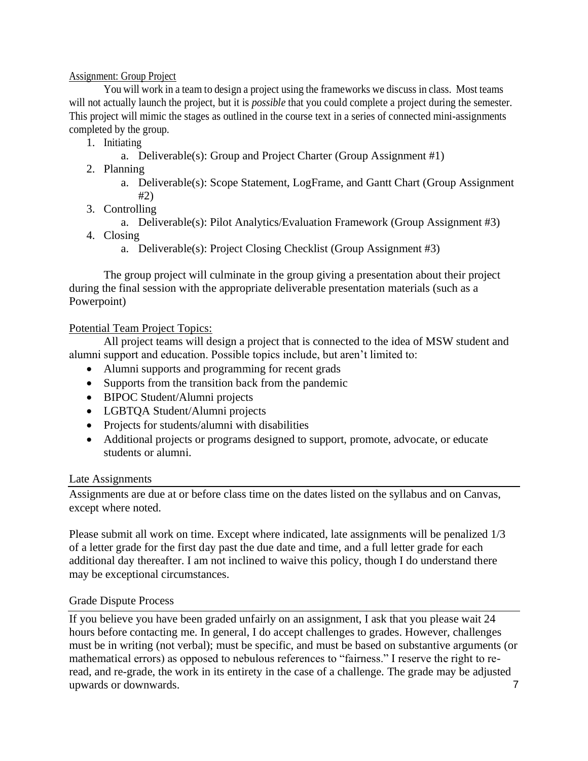## Assignment: Group Project

You will work in a team to design a project using the frameworks we discuss in class. Most teams will not actually launch the project, but it is *possible* that you could complete a project during the semester. This project will mimic the stages as outlined in the course text in a series of connected mini-assignments completed by the group.

- 1. Initiating
	- a. Deliverable(s): Group and Project Charter (Group Assignment #1)
- 2. Planning
	- a. Deliverable(s): Scope Statement, LogFrame, and Gantt Chart (Group Assignment #2)
- 3. Controlling
	- a. Deliverable(s): Pilot Analytics/Evaluation Framework (Group Assignment #3)
- 4. Closing
	- a. Deliverable(s): Project Closing Checklist (Group Assignment #3)

The group project will culminate in the group giving a presentation about their project during the final session with the appropriate deliverable presentation materials (such as a Powerpoint)

## Potential Team Project Topics:

All project teams will design a project that is connected to the idea of MSW student and alumni support and education. Possible topics include, but aren't limited to:

- Alumni supports and programming for recent grads
- Supports from the transition back from the pandemic
- BIPOC Student/Alumni projects
- LGBTQA Student/Alumni projects
- Projects for students/alumni with disabilities
- Additional projects or programs designed to support, promote, advocate, or educate students or alumni.

## Late Assignments

Assignments are due at or before class time on the dates listed on the syllabus and on Canvas, except where noted.

Please submit all work on time. Except where indicated, late assignments will be penalized 1/3 of a letter grade for the first day past the due date and time, and a full letter grade for each additional day thereafter. I am not inclined to waive this policy, though I do understand there may be exceptional circumstances.

## Grade Dispute Process

7 If you believe you have been graded unfairly on an assignment, I ask that you please wait 24 hours before contacting me. In general, I do accept challenges to grades. However, challenges must be in writing (not verbal); must be specific, and must be based on substantive arguments (or mathematical errors) as opposed to nebulous references to "fairness." I reserve the right to reread, and re-grade, the work in its entirety in the case of a challenge. The grade may be adjusted upwards or downwards.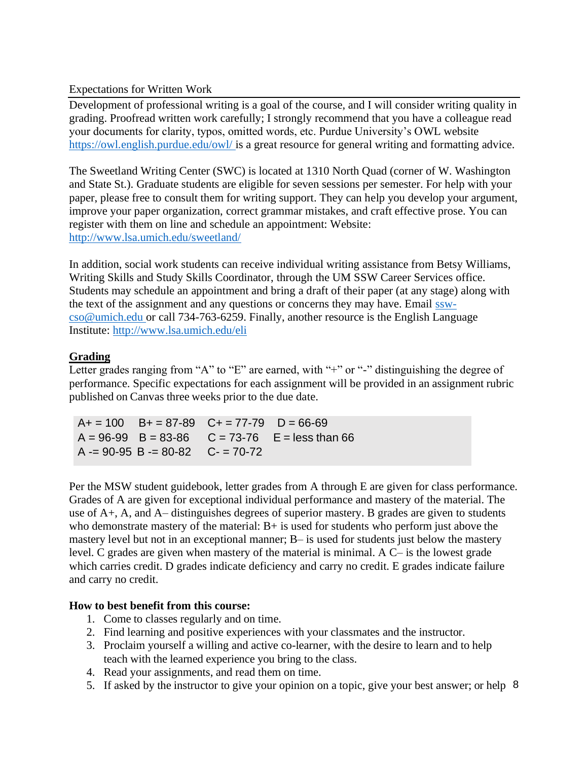## Expectations for Written Work

Development of professional writing is a goal of the course, and I will consider writing quality in grading. Proofread written work carefully; I strongly recommend that you have a colleague read your documents for clarity, typos, omitted words, etc. Purdue University's OWL website [https://owl.english.purdue.edu/owl/ i](https://owl.english.purdue.edu/owl/)s a great resource for general writing and formatting advice.

The Sweetland Writing Center (SWC) is located at 1310 North Quad (corner of W. Washington and State St.). Graduate students are eligible for seven sessions per semester. For help with your paper, please free to consult them for writing support. They can help you develop your argument, improve your paper organization, correct grammar mistakes, and craft effective prose. You can register with them on line and schedule an appointment: Website: <http://www.lsa.umich.edu/sweetland/>

In addition, social work students can receive individual writing assistance from Betsy Williams, Writing Skills and Study Skills Coordinator, through the UM SSW Career Services office. Students may schedule an appointment and bring a draft of their paper (at any stage) along with the text of the assignment and any questions or concerns they may have. Email [ssw](mailto:ssw-cso@umich.edu)[cso@umich.edu o](mailto:ssw-cso@umich.edu)r call 734-763-6259. Finally, another resource is the English Language Institute:<http://www.lsa.umich.edu/eli>

## **Grading**

Letter grades ranging from "A" to "E" are earned, with "+" or "-" distinguishing the degree of performance. Specific expectations for each assignment will be provided in an assignment rubric published on Canvas three weeks prior to the due date.

 $A+ = 100$  B+ = 87-89 C+ = 77-79 D = 66-69  $A = 96-99$  B = 83-86 C = 73-76 E = less than 66  $A = 90-95$  B  $= 80-82$  C  $= 70-72$ 

Per the MSW student guidebook, letter grades from A through E are given for class performance. Grades of A are given for exceptional individual performance and mastery of the material. The use of A+, A, and A– distinguishes degrees of superior mastery. B grades are given to students who demonstrate mastery of the material:  $B+$  is used for students who perform just above the mastery level but not in an exceptional manner; B– is used for students just below the mastery level. C grades are given when mastery of the material is minimal. A C– is the lowest grade which carries credit. D grades indicate deficiency and carry no credit. E grades indicate failure and carry no credit.

## **How to best benefit from this course:**

- 1. Come to classes regularly and on time.
- 2. Find learning and positive experiences with your classmates and the instructor.
- 3. Proclaim yourself a willing and active co-learner, with the desire to learn and to help teach with the learned experience you bring to the class.
- 4. Read your assignments, and read them on time.
- 5. If asked by the instructor to give your opinion on a topic, give your best answer; or help 8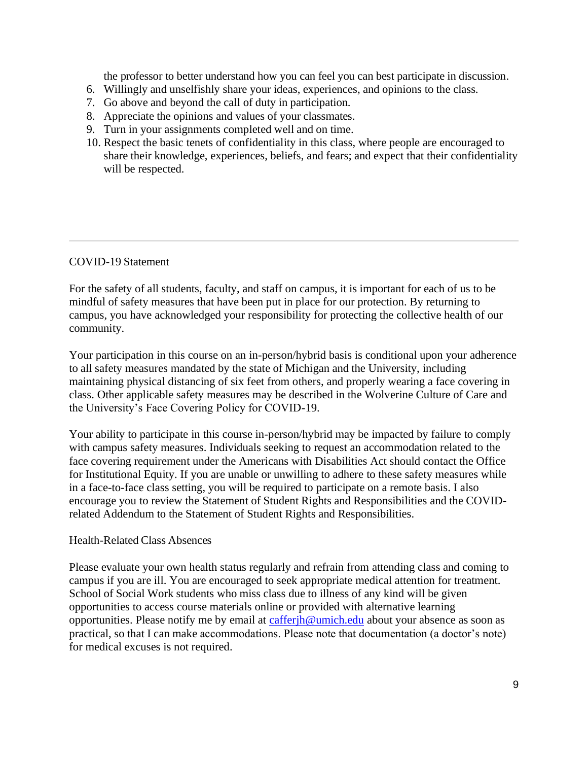the professor to better understand how you can feel you can best participate in discussion.

- 6. Willingly and unselfishly share your ideas, experiences, and opinions to the class.
- 7. Go above and beyond the call of duty in participation.
- 8. Appreciate the opinions and values of your classmates.
- 9. Turn in your assignments completed well and on time.
- 10. Respect the basic tenets of confidentiality in this class, where people are encouraged to share their knowledge, experiences, beliefs, and fears; and expect that their confidentiality will be respected.

## COVID-19 Statement

For the safety of all students, faculty, and staff on campus, it is important for each of us to be mindful of safety measures that have been put in place for our protection. By returning to campus, you have acknowledged your responsibility for protecting the collective health of our community.

Your participation in this course on an in-person/hybrid basis is conditional upon your adherence to all safety measures mandated by the state of Michigan and the University, including maintaining physical distancing of six feet from others, and properly wearing a face covering in class. Other applicable safety measures may be described in the Wolverine Culture of Care and the University's Face Covering Policy for COVID-19.

Your ability to participate in this course in-person/hybrid may be impacted by failure to comply with campus safety measures. Individuals seeking to request an accommodation related to the face covering requirement under the Americans with Disabilities Act should contact the Office for Institutional Equity. If you are unable or unwilling to adhere to these safety measures while in a face-to-face class setting, you will be required to participate on a remote basis. I also encourage you to review the Statement of Student Rights and Responsibilities and the COVIDrelated Addendum to the Statement of Student Rights and Responsibilities.

## Health-Related Class Absences

Please evaluate your own health status regularly and refrain from attending class and coming to campus if you are ill. You are encouraged to seek appropriate medical attention for treatment. School of Social Work students who miss class due to illness of any kind will be given opportunities to access course materials online or provided with alternative learning opportunities. Please notify me by email at [cafferjh@umich.edu](mailto:cafferjh@umich.edu) about your absence as soon as practical, so that I can make accommodations. Please note that documentation (a doctor's note) for medical excuses is not required.